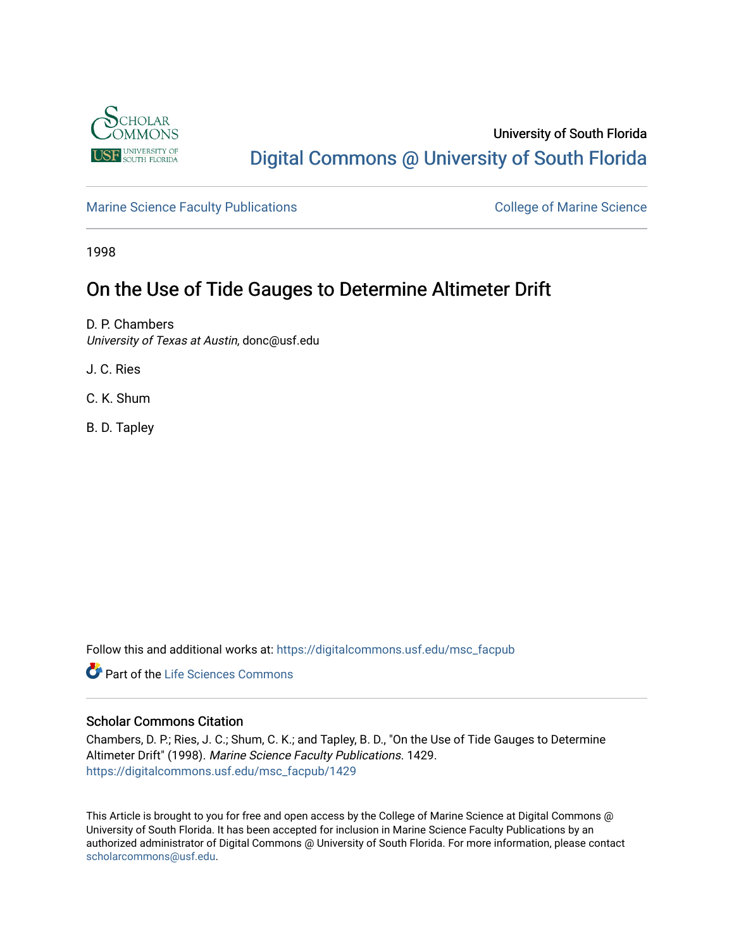

# University of South Florida [Digital Commons @ University of South Florida](https://digitalcommons.usf.edu/)

[Marine Science Faculty Publications](https://digitalcommons.usf.edu/msc_facpub) **College of Marine Science** College of Marine Science

1998

# On the Use of Tide Gauges to Determine Altimeter Drift

D. P. Chambers University of Texas at Austin, donc@usf.edu

J. C. Ries

C. K. Shum

B. D. Tapley

Follow this and additional works at: [https://digitalcommons.usf.edu/msc\\_facpub](https://digitalcommons.usf.edu/msc_facpub?utm_source=digitalcommons.usf.edu%2Fmsc_facpub%2F1429&utm_medium=PDF&utm_campaign=PDFCoverPages) 

**C** Part of the Life Sciences Commons

## Scholar Commons Citation

Chambers, D. P.; Ries, J. C.; Shum, C. K.; and Tapley, B. D., "On the Use of Tide Gauges to Determine Altimeter Drift" (1998). Marine Science Faculty Publications. 1429. [https://digitalcommons.usf.edu/msc\\_facpub/1429](https://digitalcommons.usf.edu/msc_facpub/1429?utm_source=digitalcommons.usf.edu%2Fmsc_facpub%2F1429&utm_medium=PDF&utm_campaign=PDFCoverPages) 

This Article is brought to you for free and open access by the College of Marine Science at Digital Commons @ University of South Florida. It has been accepted for inclusion in Marine Science Faculty Publications by an authorized administrator of Digital Commons @ University of South Florida. For more information, please contact [scholarcommons@usf.edu.](mailto:scholarcommons@usf.edu)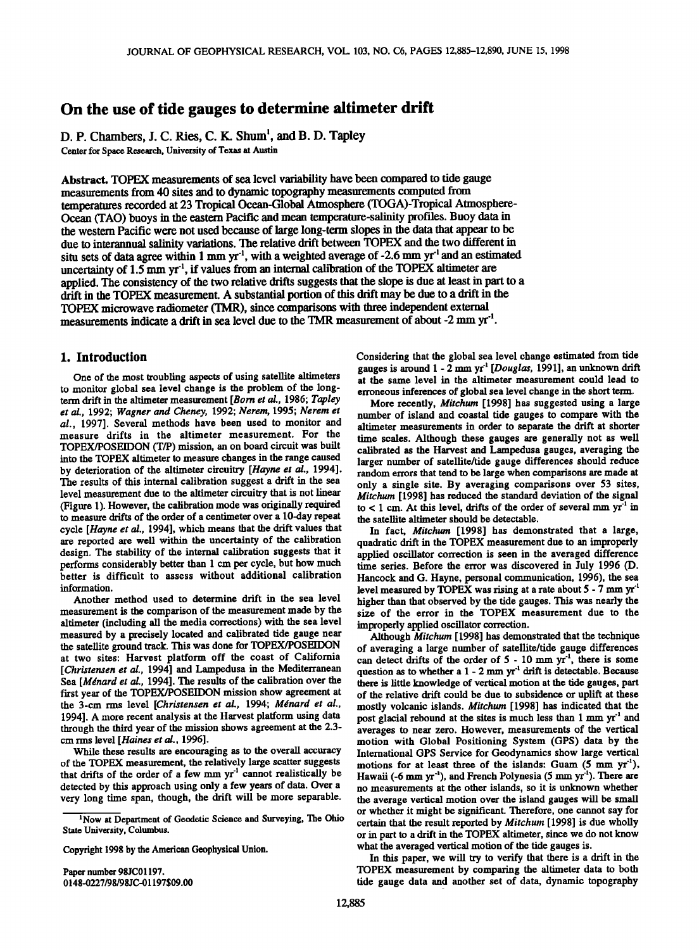# **On the use of tide gauges to determine altimeter drift**

**D. P. Chambers, J. C. Ries, C. K. Shum •, and B. D. Tapley Center for Space Research, University of Texas at Austin** 

**Abstract. TOPEX measurements of sea level variability have been compared to tide gauge measurements from 40 sites and to dynamic topography measurements computed from**  temperatures recorded at 23 Tropical Ocean-Global Atmosphere (TOGA)-Tropical Atmosphere-**Ocean (TAO) buoys in the eastern Pacific and mean temperature-salinity profiles. Buoy data in the western Pacific were not used because of large long-term slopes in the data that appear to be due to interannual salinity variations. The relative drift between TOPEX and the two different in situ sets of data agree within 1 mm yr 'l, with a weighted average of-2.6 mm yr 'l and an estimated**  uncertainty of 1.5 mm yr<sup>-1</sup>, if values from an internal calibration of the TOPEX altimeter are **applied. The consistency of the two relative drifts suggests that the slope is due at least in part to a drift in the TOPEX measurement. A substantial portion of this drift may be due to a drift in the TOPEX microwave radiometer (TMR), since comparisons with three independent external**  measurements indicate a drift in sea level due to the TMR measurement of about -2 mm yr<sup>-1</sup>.

## **1. Introduction**

**One of the most troubling aspects of using satellite altimeters to monitor global sea level change is the problem of the longterm drift in the altimeter measurement [Born et al., !986; Tapley et al., 1992; Wagner and Cheney, 1992; Nerem, 1995; Nerem et al., 1997]. Several methods have been used to monitor and measure drifts in the altimeter measurement. For the TOPEX/POSEIDON (T/P) mission, an on board circuit was built into the TOPEX altimeter to measure changes in the range caused**  by deterioration of the altimeter circuitry [Hayne et al., 1994]. **The results of this internal calibration suggest a drift in the sea level measurement due to the altimeter circuitry that is not linear (Figure 1). However, the calibration mode was originally required to measure drifts of the order of a centimeter over a 10-day repeat cycle [Hayne et al., 1994], which means that the drift values that are reported are well within the uncertainty of the calibration**  design. The stability of the internal calibration suggests that it **performs considerably better than 1 cm per cycle, but how much better is difficult to assess without additional calibration information.** 

**Another method used to determine drift in the sea level measurement isthe comparison of the measurement made by the altimeter (including all the media corrections) with the sea level measured by a precisely located and calibrated tide gauge near the satellite ground track. This was done for TOPEX/POSEIDON at two sites: Harvest platform off the coast of California**  [Christensen et al., 1994] and Lampedusa in the Mediterranean Sea [Ménard et al., 1994]. The results of the calibration over the **first year of the TOPEX/POSEIDON mission show agreement at**  the 3-cm rms level [Christensen et al., 1994; Ménard et al., **1994]. A more recent analysis at the Harvest platform using data through the third year of the mission shows agreement at the 2.3 cm rms level [Haines et al., 1996].** 

**While these results are encouraging as to the overall accuracy of the TOPEX measurement, the relatively large scatter suggests**  that drifts of the order of a few mm yr<sup>-1</sup> cannot realistically be **detected by this approach using only a few years of data. Over a very long time span, though, the drift will be more separable.** 

**Copyright 1998 by the American Geophysical Union.** 

**Paper number 98JC01197. 0148-0227/98/98JC-01197509.00**  Considering that the global sea level change estimated from tide gauges is around 1 - 2 mm yr<sup>-1</sup> [Douglas, 1991], an unknown drift **at the same level in the altimeter measurement could lead to erroneous inferences of global sea level change in the short term.** 

**More recently, Mitchum [1998] has suggested using a large number of island and coastal tide gauges to compare with the altimeter measurements in order to separate the drift at shorter time scales. Although these gauges are generally not as well calibrated as the Harvest and Lampedusa gauges, averaging the larger number of satellite/tide gauge differences should reduce random errors that tend to be large when comparisons are made at only a single site. By averaging comparisons over 53 sites, Mitchum [1998] has reduced the standard deviation of the signal**   $\text{to}$  < 1 cm. At this level, drifts of the order of several mm  $\text{yr}^1$  in **the satellite altimeter should be detectable.** 

**In fact, Mitchum [1998] has demonstrated that a large, quadratic drift in the TOPEX measurement due to an improperly applied oscillator correction is seen in the averaged difference time series. Before the error was discovered in July 1996 (D. Hancock and G. Hayne, personal communication, 1996), the sea**  level measured by TOPEX was rising at a rate about 5 - 7 mm yr<sup>-1</sup> **higher than that observed by the tide gauges. This was nearly the size of the error in the TOPEX measurement due to the improperly applied oscillator correction.** 

**Although Mitchurn [ 1998] has demonstrated that the technique of averaging a large number of satellite/tide gauge differences**  can detect drifts of the order of 5 - 10 mm yr<sup>-1</sup>, there is some question as to whether a 1 - 2 mm yr<sup>1</sup> drift is detectable. Because **there is little knowledge of vertical motion at the tide gauges, part of the relative drift could be due to subsidence or uplift at these mostly volcanic islands. Mitchurn [1998] has indicated that the**  post glacial rebound at the sites is much less than 1 mm yr<sup>-1</sup> and **averages to near zero. However, measurements of the vertical motion with Global Positioning System (GPS) data by the International GPS Service for Geodynamics show large vertical**  motions for at least three of the islands: Guam (5 mm yr<sup>1</sup>), Hawaii (-6 mm yr<sup>-1</sup>), and French Polynesia (5 mm yr<sup>-1</sup>). There are **no measurements at the other islands, so it is unknown whether the average vertical motion over the island gauges will be small or whether it might be significant. Therefore, one cannot say for certain that the result reported by Mitchurn [1998] is due wholly or in part to a drift in the TOPEX altimeter, since we do not know what the averaged vertical motion of the tide gauges is.** 

**In this paper, we will try to verify that there is a drift in the TOPEX measurement by comparing the altimeter data to both tide gauge data and another set of data, dynamic topography** 

**<sup>•</sup>Now at Department of Geodetic Science and Surveying, The Ohio State University, Columbus.**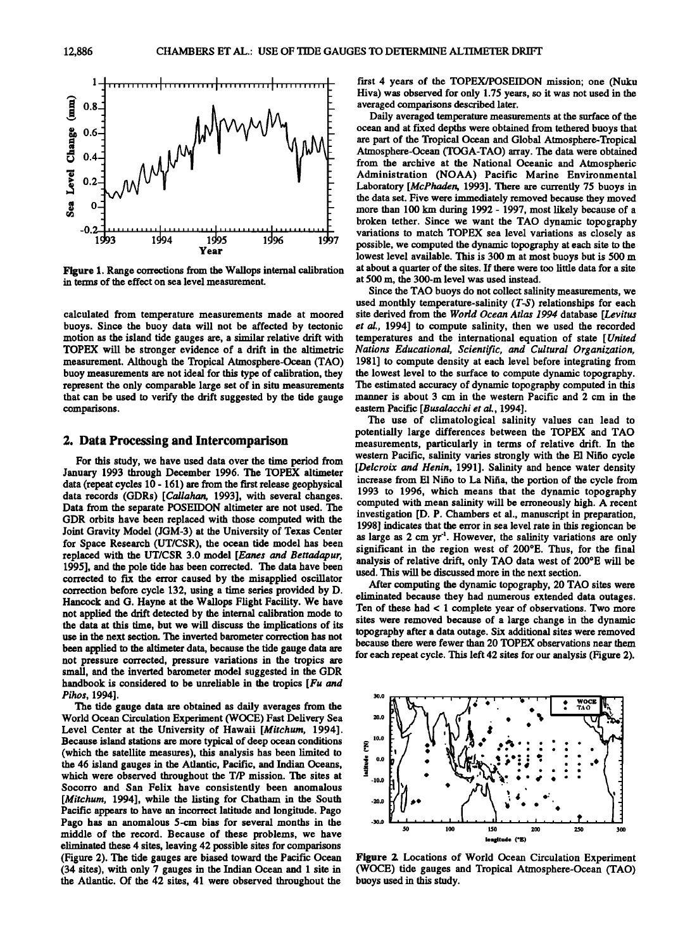

Figure 1. Range corrections from the Wallops internal calibration **in terms of the effect on sea level measurement.** 

**calculated from temperature measurements made at moored buoys. Since the buoy data will not be affected by tectonic motion as the island tide gauges are, a similar relative drift with measurement. Although the Tropical Atmosphere-Ocean (TAO) buoy measurements are not ideal for this type of calibration, they represent the only comparable large set of in situ measurements that can be used to verify the drift suggested by the tide gauge comparisons.** 

## **2. Data Processing and Intercomparison**

**For this study, we have used data over the time period from January 1993 through December 1996. The TOPEX altimeter data (repeat cycles 10 - 161) are from the first release geophysical data records (GDRs) [Callahan, 1993], with several changes. Data from the separate POSEIDON altimeter are not used. The GDR orbits have been replaced with those computed with the Joint Gravity Model (JGM-3) at the University of Texas Center for Space Research (UT/CSR), the ocean tide model has been replaced with the UT/CSR 3.0 model [Eanes and Bettadapur, 1995], and the pole tide has been corrected. The data have been corrected to fix the error caused by the misapplied oscillator correction before cycle 132, using a time series provided by D. Hancock and G. Hayne at the Wallops Flight Facility. We have not applied the drift detected by the internal calibration mode to the data at this time, but we will discuss the implications of its use in the next section. The inverted barometer correction has not been applied to the altimeter data, because the tide gauge data are not pressure corrected, pressure variations in the tropics are small, and the inverted barometer model suggested in the GDR handbook is considered to be unreliable in the tropics [Fu and Pihos, 1994].** 

**The tide gauge data are obtained as daily averages from the World Ocean Circulation Experiment (WOCE) Fast Delivery Sea**  Level Center at the University of Hawaii [Mitchum, 1994]. **Because island stations are more typical of deep ocean conditions (which the satellite measures), this analysis has been limited to the 46 island gauges in the Atlantic, Pacific, and Indian Oceans, which were observed throughout the T/P mission. The sites at Socorro and San Felix have consistently been anomalous**  [Mitchum, 1994], while the listing for Chatham in the South **Pacific appears to have an incorrect latitude and longitude. Pago Pago has an anomalous 5-cm bias for several months in the middle of the record. Because of these problems, we have eliminated these 4 sites, leaving 42 possible sites for comparisons (Figure 2). The tide gauges are biased toward the Pacific Ocean (34 sites), with only 7 gauges in the Indian Ocean and 1 site in the Atlantic. Of the 42 sites, 41 were observed throughout the** 

**first 4 years of the TOPEX/POSEIDON mission; one (Nuku Hiva) was observed for only 1.75 years, so it was not used in the averaged comparisons described later.** 

**Daily averaged temperature measurements at the surface of the ocean and at fixed depths were obtained from tethered buoys that are part of the Tropical Ocean and Global Atmosphere-Tropical Atmosphere-Ocean (TOGA-TAO) array. The data were obtained from the archive at the National Oceanic and Atmospheric Administration (NOAA) Pacific Marine Environmental**  Laboratory [McPhaden, 1993]. There are currently 75 buoys in **the data set. Five were immediately removed because they moved more than 100 km during 1992 - 1997, most likely because of a broken tether. Since we want the TAO dynamic topography variations to match TOPEX sea level variations as closely as possible, we computed the dynamic topography at each site to the lowest level available. This is 300 m at most buoys but is 500 m at about a quarter of the sites. If there were too little data for a site at 500 m, the 300-m level was used instead.** 

**Since the TAO buoys do not collect salinity measurements, we used monthly temperature-salinity (T-S) relationships for each site derived from the World Ocean Atlas 1994 database [Levitus et al., 1994] to compute salinity, then we used the recorded temperatures and the international equation of state [United**  Nations Educational, Scientific, and Cultural Organization, **1981] to compute density at each level before integrating from the lowest level to the surface to compute dynamic topography. The estimated accuracy of dynamic topography computed in this manner is about 3 cm in the western Pacific and 2 cm in the eastern Pacific [Busalacchi et al., 1994].** 

**The use of climatological salinity values can lead to potentially large differences between the TOPEX and TAO measurements, particularly in terms of relative drift. In the western Pacific, salinity varies strongly with the E1 Nifio cycle [Delcroix and Henin, 1991]. Salinity and hence water density increase from E1 Nifio to La Nifia, the portion of the cycle from 1993 to 1996, which means that the dynamic topography computed with mean salinity will be erroneously high. A recent investigation [D. P. Chambers et al., manuscript in preparation, 1998] indicates that the error in sea level rate in this regioncan be**  as large as 2 cm yr<sup>-1</sup>. However, the salinity variations are only **significant in the region west of 200øE. Thus, for the final**  analysis of relative drift, only TAO data west of 200°E will be **used. This will be discussed more in the next section.** 

**After computing the dynamic topography, 20 TAO sites were eliminated because they had numerous extended data outages. Ten of these had < 1 complete year of observations. Two more sites were removed because of a large change in the dynamic topography after a data outage. Six additional sites were removed because there were fewer than 20 TOPEX observations near them for each repeat cycle. This left 42 sites for our analysis (Figure 2).** 



Figure 2. Locations of World Ocean Circulation Experiment **(WOCE) tide gauges and Tropical Atmosphere-Ocean (TAO) buoys used in this study.**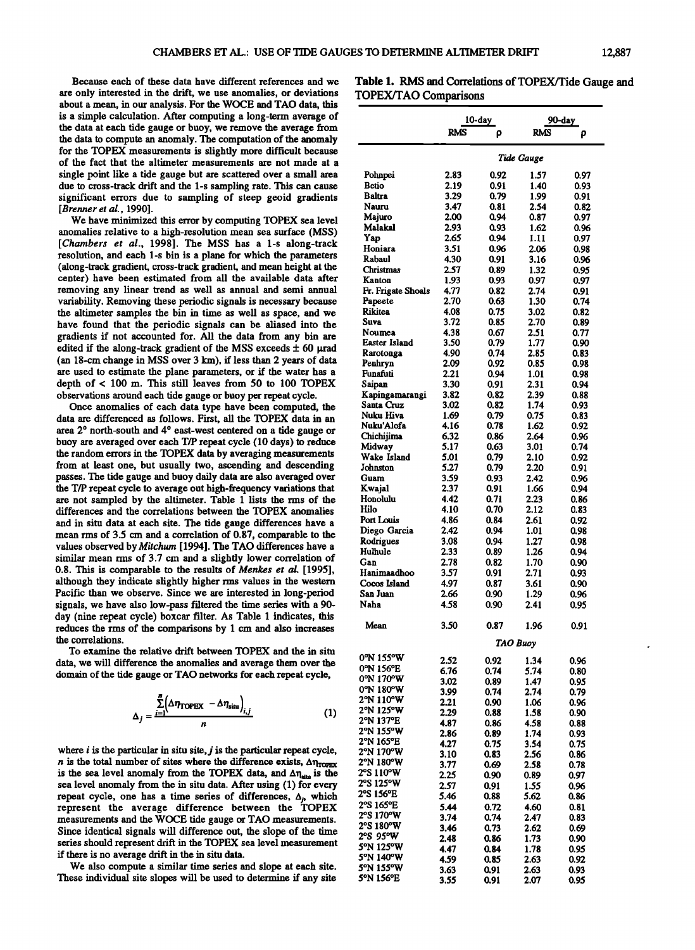**Because each of these data have different references and we are only interested in the drift, we use anomalies, or deviations about a mean, in our analysis. For the WOCE and TAO data, this is a simple calculation. After computing a long-term average of the data at each tide gauge or buoy, we remove the average from the data to compute an anomaly. The computation of the anomaly for the TOPEX measurements is slightly more difficult because of the fact that the altimeter measurements are not made at a single point like a tide gauge but are scattered over a small area due to cross-track drift and the 1-s sampling rate. This can cause significant errors due to sampling of steep geoid gradients [Brenner et al., 1990].** 

**We have minimized this error by computing TOPEX sea level anomalies relative to a high-resolution mean sea surface (MSS) [Chambers et al., 1998]. The MSS has a 1-s along-track resolution, and each 1-s bin is a plane for which the parameters (along-track gradient, cross-track gradient, and mean height at the center) have been estimated from all the available data after removing any linear trend as well as annual and semi annual variability. Removing these periodic signals is necessary because the altimeter samples the bin in time as well as space, and we have found that the periodic signals can be aliased into the gradients if not accounted for. All the data from any bin are**  edited if the along-track gradient of the MSS exceeds  $\pm$  60  $\mu$ rad (an 18-cm change in MSS over 3 km), if less than 2 years of data **are used to estimate the plane parameters, or if the water has a depth of < 100 m. This still leaves from 50 to 100 TOPEX observations around each tide gauge or buoy per repeat cycle.** 

**Once anomalies of each data type have been computed, the data are differenced as follows. First, all the TOPEX data in an**  area 2° north-south and 4° east-west centered on a tide gauge or **buoy are averaged over each T/P repeat cycle (10 days) to reduce the random errors in the TOPEX data by averaging measurements from at least one, but usually two, ascending and descending passes. The tide gauge and buoy daily data are also averaged over the T/P repeat cycle to average out high-frequency variations that are not sampled by the altimeter. Table 1 lists the rms of the differences and the correlations between the TOPEX anomalies and in situ data at each site. The tide gauge differences have a mean rms of 3.5 cm and a correlation of 0.87, comparable to the**  values observed by Mitchum [1994]. The TAO differences have a **similar mean rms of 3.7 cm and a slightly lower correlation of 0.8. This is comparable to the results of Menkes et al. [1995], although they indicate slightly higher rms values in the western Pacific than we observe. Since we are interested in long-period signals, we have also low-pass filtered the time series with a 90 day (nine repeat cycle) boxcar filter. As Table 1 indicates, this reduces the rms of the comparisons by 1 cm and also increases the correlations.** 

**To examine the relative drift between TOPEX and the in situ data, we will difference the anomalies and average them over the domain of the tide gauge or TAO networks for each repeat cycle,** 

$$
\Delta_j = \frac{\sum_{i=1}^{n} (\Delta \eta_{\text{TOPEX}} - \Delta \eta_{\text{situ}})_{i,j}}{n} \tag{1}
$$

**where i is the particular in situ site, j is the particular repeat cycle,**  *n* is the total number of sites where the difference exists,  $\Delta \eta_{\text{TOPEX}}$ is the sea level anomaly from the TOPEX data, and  $\Delta\eta_{\text{atm}}$  is the **sea level anomaly from the in situ data. After using (1) for every**  repeat cycle, one has a time series of differences,  $\Delta_p$ , which **represent the average difference between the TOPEX measurements and the WOCE tide gauge or TAO measurements. Since identical signals will difference out, the slope of the time series should represent drift in the TOPEX sea level measurement if there is no average drift in the in situ data.** 

**We also compute a similar time series and slope at each site. These individual site slopes will be used to determine if any site** 

Table 1. RMS and Correlations of TOPEX/Tide Gauge and **TOPEX/TAO Comparisons** 

|                         | $10$ -day                    |              | 90-day       |              |
|-------------------------|------------------------------|--------------|--------------|--------------|
|                         | RMS                          | ρ            | <b>RMS</b>   | ρ            |
|                         | Tide Gauge                   |              |              |              |
|                         |                              |              |              |              |
| Pohnpei<br>Betio        | 2.83<br>2.19                 | 0.92<br>0.91 | 1.57<br>1.40 | 0.97<br>0.93 |
| Baltra                  | 3.29                         | 0.79         | 1.99         | 0.91         |
| Nauru                   | 3.47                         | 0.81         | 2.54         | 0.82         |
| Majuro                  | 2.00                         | 0.94         | 0.87         | 0.97         |
| Malakal                 | 2.93                         | 0.93         | 1.62         | 0.96         |
| Yap<br>Honiara          | 2.65<br>3.51                 | 0.94<br>0.96 | 1.11<br>2.06 | 0.97<br>0.98 |
| Rabaul                  | 4.30                         | 0.91         | 3.16         | 0.96         |
| Christmas               | 2.57                         | 0.89         | 1.32         | 0.95         |
| Kanton                  | 1.93                         | 0.93         | 0.97         | 0.97         |
| Fr. Frigate Shoals      | 4.77                         | 0.82         | 2.74         | 0.91         |
| Papeete<br>Rikitea      | 2.70<br>4.08                 | 0.63<br>0.75 | 1.30<br>3.02 | 0.74<br>0.82 |
| Suva                    | 3.72                         | 0.85         | 2.70         | 0.89         |
| Noumea                  | 4.38                         | 0.67         | 2.51         | 0.77         |
| Easter Island           | 3.50                         | 0.79         | 1.77         | 0.90         |
| Rarotonga               | 4.90                         | 0.74         | 2.85         | 0.83         |
| Penhryn<br>Funafuti     | 2.09<br>2.21                 | 0.92<br>0.94 | 0.85<br>1.01 | 0.98<br>0.98 |
| Saipan                  | 3.30                         | 0.91         | 2.31         | 0.94         |
| Kapingamarangi          | 3.82                         | 0.82         | 2.39         | 0.88         |
| Santa Cruz              | 3.02                         | 0.82         | 1.74         | 0.93         |
| Nuku Hiva<br>Nuku'Alofa | 1.69<br>4.16                 | 0.79<br>0.78 | 0.75<br>1.62 | 0.83         |
| Chichijima              | 6.32                         | 0.86         | 2.64         | 0.92<br>0.96 |
| Midway                  | 5.17                         | 0.63         | 3.01         | 0.74         |
| Wake Island             | 5.01                         | 0.79         | 2.10         | 0.92         |
| Johnston                | 5.27                         | 0.79         | 2.20         | 0.91         |
| Guam                    | 3.59                         | 0.93         | 2.42         | 0.96         |
| Kwajal<br>Honolulu      | 2.37<br>4.42                 | 0.91<br>0.71 | 1.66<br>2.23 | 0.94<br>0.86 |
| Hilo                    | 4.10                         | 0.70         | 2.12         | 0.83         |
| Port Louis              | 4.86                         | 0.84         | 2.61         | 0.92         |
| Diego Garcia            | 2.42                         | 0.94         | 1.01         | 0.98         |
| Rodrigues               | 3.08                         | 0.94         | 1.27         | 0.98         |
| Hulhule<br>Gan          | 2.33<br>2.78                 | 0.89<br>0.82 | 1.26<br>1.70 | 0.94<br>0.90 |
| Hanimaadhoo             | 3.57                         | 0.91         | 2.71         | 0.93         |
| Cocos Island            | 4.97                         | 0.87         | 3.61         | 0.90         |
| San Juan                | 2.66                         | 0.90         | 1.29         | 0.96         |
| Naha                    | 4.58                         | 0.90         | 2.41         | 0.95         |
| Mean                    | 3.50<br>0.87<br>1.96<br>0.91 |              |              |              |
| 0°N 155°W               |                              |              | TAO Buoy     |              |
| 0°N 156°E               | 2.52                         | 0.92         | 1.34         | 0.96         |
| 0°N 170°W               | 6.76<br>3.02                 | 0.74<br>0.89 | 5.74<br>1.47 | 0.80<br>0.95 |
| 0°N 180°W               | 3.99                         | 0.74         | 2.74         | 0.79         |
| 2°N 110°W               | 2.21                         | 0.90         | 1.06         | 0.96         |
| 2°N 125°W               | 2.29                         | 0.88         | 1.58         | 0.90         |
| 2°N 137°E<br>2°N 155°W  | 4.87                         | 0.86         | 4.58<br>1.74 | 0.88         |
| 2°N 165°E               | 2.86<br>4.27                 | 0.89<br>0.75 | 3.54         | 0.93<br>0.75 |
| 2°N 170°W               | 3.10                         | 0.83         | 2.56         | 0.86         |
| 2°N 180°W               | 3.77                         | 0.69         | 2.58         | 0.78         |
| 2°S 110°W<br>2°S 125°W  | 2.25                         | 0.90         | 0.89         | 0.97         |
| 2°S 156°E               | 2.57                         | 0.91         | 1.55         | 0.96         |
| 2°S 165°E               | 5.46<br>5.44                 | 0.88<br>0.72 | 5.62<br>4.60 | 0.86<br>0.81 |
| 2°S 170°W               | 3.74                         | 0.74         | 2.47         | 0.83         |
| 2°S 180°W               | 3.46                         | 0.73         | 2.62         | 0.69         |
| 2°S 95°W<br>5°N 125°W   | 2.48                         | 0.86         | 1.73         | 0.90         |
| 5°N 140°W               | 4.47                         | 0.84         | 1.78         | 0.95         |
| 5°N 155°W               | 4.59<br>3.63                 | 0.85<br>0.91 | 2.63<br>2.63 | 0.92<br>0.93 |
| 5°N 156°E               | 3.55                         | 0.91         | 2.07         | 0.95         |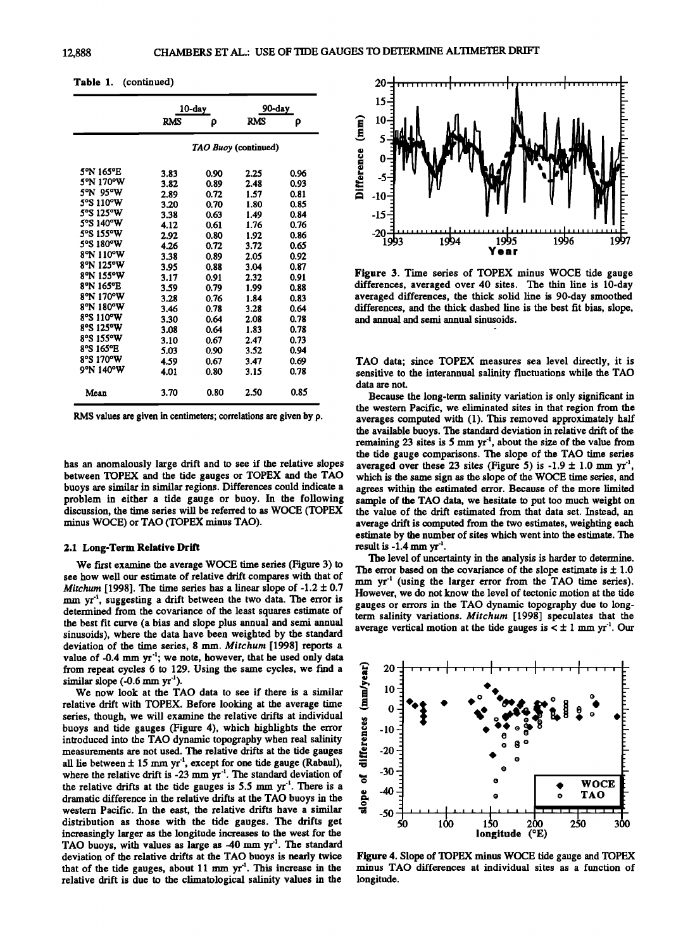| Table 1. | (continued) |
|----------|-------------|
|----------|-------------|

|                                                                                                                                                                                                             | 10-day                                                                                                                       |                                                                                                                              | 90-day                                                                                                                       |                                                                                                                              |  |
|-------------------------------------------------------------------------------------------------------------------------------------------------------------------------------------------------------------|------------------------------------------------------------------------------------------------------------------------------|------------------------------------------------------------------------------------------------------------------------------|------------------------------------------------------------------------------------------------------------------------------|------------------------------------------------------------------------------------------------------------------------------|--|
|                                                                                                                                                                                                             | <b>RMS</b>                                                                                                                   | ρ                                                                                                                            | <b>RMS</b>                                                                                                                   | ρ                                                                                                                            |  |
|                                                                                                                                                                                                             |                                                                                                                              | TAO Buoy (continued)                                                                                                         |                                                                                                                              |                                                                                                                              |  |
| 5°N 165°E<br>5°N 170°W<br>5°N 95°W<br>5°S 110°W<br>5°S 125°W<br>5°S 140°W<br>5°S 155°W<br>5°S 180°W<br>8°N 110°W<br>8°N 125°W<br>8°N 155°W<br>8°N 165°E<br>8°N 170°W<br>8°N 180°W<br>8°S 110°W<br>8°S 125°W | 3.83<br>3.82<br>2.89<br>3.20<br>3.38<br>4.12<br>2.92<br>4.26<br>3.38<br>3.95<br>3.17<br>3.59<br>3.28<br>3.46<br>3.30<br>3.08 | 0.90<br>0.89<br>0.72<br>0.70<br>0.63<br>0.61<br>0.80<br>0.72<br>0.89<br>0.88<br>0.91<br>0.79<br>0.76<br>0.78<br>0.64<br>0.64 | 2.25<br>2.48<br>1.57<br>1.80<br>1.49<br>1.76<br>1.92<br>3.72<br>2.05<br>3.04<br>2.32<br>1.99<br>1.84<br>3.28<br>2.08<br>1.83 | 0.96<br>0.93<br>0.81<br>0.85<br>0.84<br>0.76<br>0.86<br>0.65<br>0.92<br>0.87<br>0.91<br>0.88<br>0.83<br>0.64<br>0.78<br>0.78 |  |
| 8°S 155°W<br>8°S 165°E                                                                                                                                                                                      | 3.10<br>5.03                                                                                                                 | 0.67<br>0.90                                                                                                                 | 2.47<br>3.52                                                                                                                 | 0.73<br>0.94                                                                                                                 |  |
| 8°S 170°W<br>9°N 140°W                                                                                                                                                                                      | 4.59<br>4.01                                                                                                                 | 0.67<br>0.80                                                                                                                 | 3.47<br>3.15                                                                                                                 | 0.69<br>0.78                                                                                                                 |  |
| Mean                                                                                                                                                                                                        | 3.70                                                                                                                         | 0.80                                                                                                                         | 2.50                                                                                                                         | 0.85                                                                                                                         |  |

**RMS values are given in centimeters; correlations are given by p.** 

**has an anomalously large drift and to see if the relative slopes between TOPEX and the tide gauges or TOPEX and the TAO buoys are similar in similar regions. Differences could indicate a problem in either a tide gauge or buoy. In the following discussion, the time series will be referred to as WOCE (TOPEX minus WOCE) or TAO (TOPEX minus TAO).** 

#### **2.1 Long-Term Relative Drift**

**We first examine the average WOCE time series (Figure 3) to see how well our estimate of relative drift compares with that of**  *Mitchum* [1998]. The time series has a linear slope of  $-1.2 \pm 0.7$ mm yr<sup>-1</sup>, suggesting a drift between the two data. The error is **determined from the covariance of the least squares estimate of the best fit curve (a bias and slope plus annual and semi annual sinusoids), where the data have been weighted by the standard deviation of the time series, 8 mm. Mitchurn [1998] reports a**  value of -0.4 mm yr<sup>-1</sup>; we note, however, that he used only data **from repeat cycles 6 to 129. Using the same cycles, we find a**   $s$ imilar slope  $(-0.6$  mm  $yr^{-1}$ ).

**We now look at the TAO data to see if there is a similar relative drift with TOPEX. Before looking at the average time series, though, we will examine the relative drifts at individual buoys and tide gauges (Figure 4), which highlights the error introduced into the TAO dynamic topography when real salinity measurements are not used. The relative drifts at the tide gauges**  all lie between  $\pm 15$  mm yr<sup>1</sup>, except for one tide gauge (Rabaul), where the relative drift is  $-23$  mm  $yr^{-1}$ . The standard deviation of the relative drifts at the tide gauges is 5.5 mm yr<sup>1</sup>. There is a **dramatic difference in the relative drifts at the TAO buoys in the western Pacific. In the east, the relative drifts have a similar distribution as those with the tide gauges. The drifts get increasingly larger as the longitude increases to the west for the**  TAO buoys, with values as large as -40 mm yr<sup>-1</sup>. The standard **deviation of the relative drifts at the TAO buoys is nearly twice**  that of the tide gauges, about  $11$  mm  $yr<sup>-1</sup>$ . This increase in the **relative drift is due to the climatological salinity values in the** 



**Figure 3. Time series of TOPEX minus WOCE tide gauge differences, averaged over 40 sites. The thin line is 10-day averaged differences, the thick solid line is 90-day smoothed differences, and the thick dashed line is the best fit bias, slope, and annual and semi annual sinusoids.** 

**TAO data; since TOPEX measures sea level directly, it is sensitive to the interannual salinity fluctuations while the TAO data are not.** 

**Because the long-term salinity variation is only significant in the western Pacific, we eliminated sites in that region from the averages computed with (1). This removed approximately half the available buoys. The standard deviation in relative drift of the**  remaining 23 sites is 5 mm yr<sup>-1</sup>, about the size of the value from **the tide gauge comparisons. The slope of the TAO time series**  averaged over these 23 sites (Figure 5) is  $-1.9 \pm 1.0$  mm yr<sup>-1</sup> **which is the same sign as the slope of the WOCE time series, and agrees within the estimated error. Because of the more limited sample of the TAO data, we hesitate to put too much weight on the value of the drift estimated from that data set. Instead, an average drift is computed from the two estimates, weighting each estimate by the number of sites which went into the estimate. The**  result is  $-1.4$  mm  $yr^{-1}$ .

**The level of uncertainty in the analysis is harder to determine.**  The error based on the covariance of the slope estimate is  $\pm 1.0$ mm yr<sup>1</sup> (using the larger error from the TAO time series). **However, we do not know the level of tectonic motion at the tide gauges or errors in the TAO dynamic topography due to long**term salinity variations. Mitchum [1998] speculates that the average vertical motion at the tide gauges is  $\lt \pm 1$  mm yr<sup>-1</sup>. Our



**Figure 4. Slope of TOPEX minus WOCE tide gauge and TOPEX minus TAO differences at individual sites as a function of longitude.**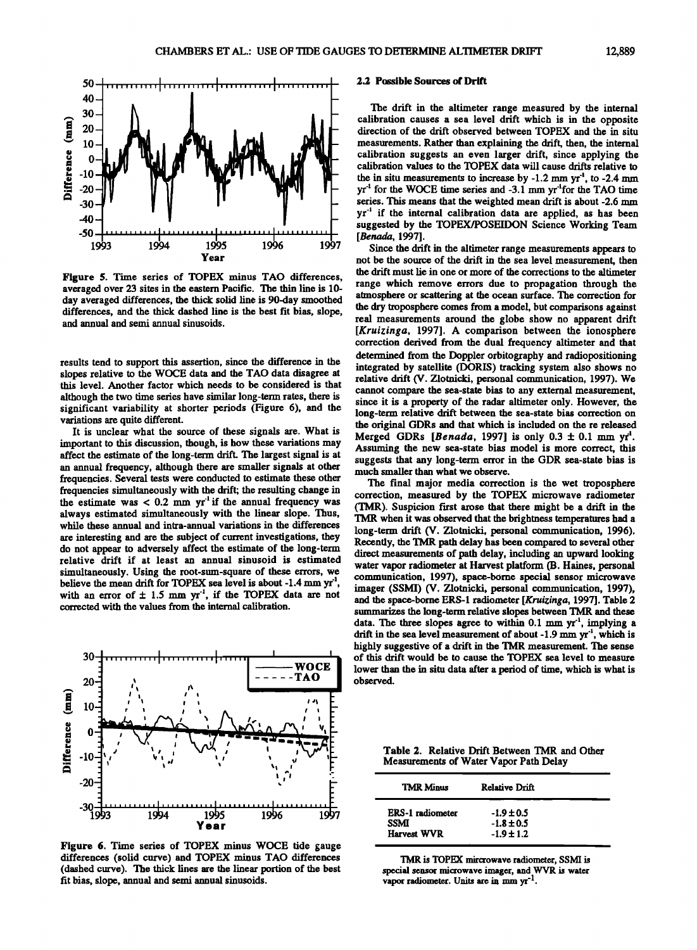

**Figure 5. Time series of TOPEX minus TAO differences, averaged over 23 sites in the eastern Pacific. The thin line is 10 day averaged differences, the thick solid line is 90-day smoothed differences, and the thick dashed line is the best fit bias, slope, and annual and semi annual sinusoids.** 

results tend to support this assertion, since the difference in the **slopes relative to the WOCE data and the TAO data disagree at this level. Another factor which needs to be considered is that although the two time series have similar long-term rates, there is significant variability at shorter periods (Figure 6), and the variations are quite different.** 

**It is unclear what the source of these signals are. What is**  important to this discussion, though, is how these variations may **affect the estimate of the long-term drift. The largest signal is at an annual frequency, although there are smaller signals at other frequencies. Several tests were conducted to estimate these other frequencies simultaneously with the drift; the resulting change in**  the estimate was  $< 0.2$  mm yr<sup>1</sup> if the annual frequency was **always estimated simultaneously with the linear slope. Thus, while these annual and intra-annual variations in the differences are interesting and are the subject of current investigations, they do not appear to adversely affect the estimate of the long-term**  relative drift if at least an annual sinusoid is estimated **simultaneously. Using the root-sum-square of these errors, we**  believe the mean drift for TOPEX sea level is about -1.4 mm yr<sup>1</sup> with an error of  $\pm$  1.5 mm yr<sup>-1</sup>, if the TOPEX data are not **corrected with the values from the internal calibration.** 



**Figure 6. Time series of TOPEX minus WOCE tide gauge differences (solid curve) and TOPEX minus TAO differences (dashed curve). The thick lines are the linear portion of the best fit bias, slope, annual and semi annual sinusoids.** 

#### **2.2 Possible Sources of Drift**

**The drift in the altimeter range measured by the internal calibration causes a sea level drift which is in the opposite direction of the drift observed between TOPEX and the in situ measurements. Rather than explaining the drift, then, the internal calibration suggests an even larger drift, since applying the calibration values to the TOPEX data will cause drifts relative to**  the in situ measurements to increase by  $-1.2$  mm  $yr<sup>-1</sup>$ , to  $-2.4$  mm **yr<sup>-1</sup>** for the WOCE time series and -3.1 mm yr<sup>-1</sup>for the TAO time **series. This means that the weighted mean drift is about-2.6 mm yr a if the internal calibration data are applied, as has been suggested by the TOPEX/POSEIDON Science Working Team [Benada, 1997].** 

Since the drift in the altimeter range measurements appears to **not be the source of the drift in the sea level measurement, then the drift must lie in one or more of the corrections to the altimeter range which remove errors due to propagation through the atmosphere or scattering at the ocean surface. The correction for the dry troposphere comes from a model, but comparisons against real measurements around the globe show no apparent drift [Kruizinga, 1997]. A comparison between the ionosphere correction derived from the dual frequency altimeter and that determined from the Doppler orbitography and radiopositioning integrated by satellite (DORIS) tracking system also shows no relative drift (V. Zlotnicki, personal communication, 1997). We cannot compare the sea-state bias to any external measurement, since it is a property of the radar altimeter only. However, the long-term relative drift between the sea-state bias correction on the original GDRs and that which is included on the re released Merged GDRs [Benada, 1997] is only 0.3 + 0.1 mm yf•. Assuming the new sea-state bias model is more correct, this suggests that any long-term error in the GDR sea-state bias is much smaller than what we observe.** 

**The final major media correction is the wet troposphere correction, measured by the TOPEX microwave radiometer (TMR). Suspicion first arose that there might be a drift in the TMR when it was observed that the brightness temperatures had a long-term drift (V. Zlotnicki, personal communication, 1996), Recently, the TMR path delay has been compared to several other direct measurements of path delay, including an upward looking water vapor radiometer at Harvest platform (B. Haines, personal communication, 1997), space-borne special sensor microwave imager (SSMI) (V. Zlotnicki, personal communication, 1997), and the space-borne ERS-1 radiometer [Kruizinga, 1997]. Table 2 summarizes the long-term relative slopes between TMR and these**  data. The three slopes agree to within 0.1 mm yr<sup>1</sup>, implying a drift in the sea level measurement of about -1.9 mm yr<sup>-1</sup>, which is **highly suggestive of a drift in the TMR measurement. The sense of this drift would be to cause the TOPEX sea level to measure lower than the in situ data after a period of time, which is what is observed.** 

**Table 2. Relative Drift Between TMR and Other Measurements of Water Vapor Path Delay** 

| <b>TMR Minus</b>                | <b>Relative Drift</b>            |  |
|---------------------------------|----------------------------------|--|
| <b>ERS-1</b> radiometer<br>SSMI | $-1.9 \pm 0.5$<br>$-1.8 \pm 0.5$ |  |
| <b>Harvest WVR</b>              | $-1.9 \pm 1.2$                   |  |

**TMR is TOPEX mircrowave radiometer, SSMI is special sensor microwave imager, and WVR is water**  vapor radiometer. Units are in mm yr<sup>-1</sup>